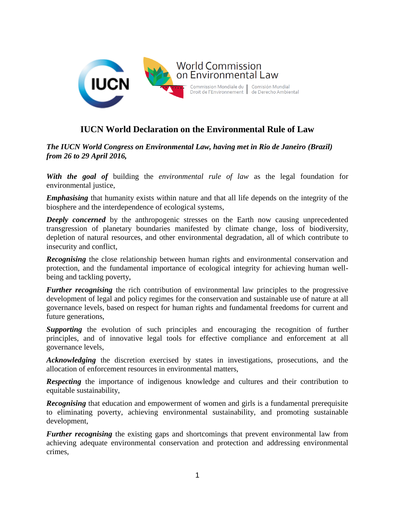

# **IUCN World Declaration on the Environmental Rule of Law**

*The IUCN World Congress on Environmental Law, having met in Rio de Janeiro (Brazil) from 26 to 29 April 2016,*

*With the goal of* building the *environmental rule of law* as the legal foundation for environmental justice,

*Emphasising* that humanity exists within nature and that all life depends on the integrity of the biosphere and the interdependence of ecological systems,

**Deeply concerned** by the anthropogenic stresses on the Earth now causing unprecedented transgression of planetary boundaries manifested by climate change, loss of biodiversity, depletion of natural resources, and other environmental degradation, all of which contribute to insecurity and conflict,

*Recognising* the close relationship between human rights and environmental conservation and protection, and the fundamental importance of ecological integrity for achieving human wellbeing and tackling poverty,

*Further recognising* the rich contribution of environmental law principles to the progressive development of legal and policy regimes for the conservation and sustainable use of nature at all governance levels, based on respect for human rights and fundamental freedoms for current and future generations,

**Supporting** the evolution of such principles and encouraging the recognition of further principles, and of innovative legal tools for effective compliance and enforcement at all governance levels,

*Acknowledging* the discretion exercised by states in investigations, prosecutions, and the allocation of enforcement resources in environmental matters,

*Respecting* the importance of indigenous knowledge and cultures and their contribution to equitable sustainability,

**Recognising** that education and empowerment of women and girls is a fundamental prerequisite to eliminating poverty, achieving environmental sustainability, and promoting sustainable development,

*Further recognising* the existing gaps and shortcomings that prevent environmental law from achieving adequate environmental conservation and protection and addressing environmental crimes,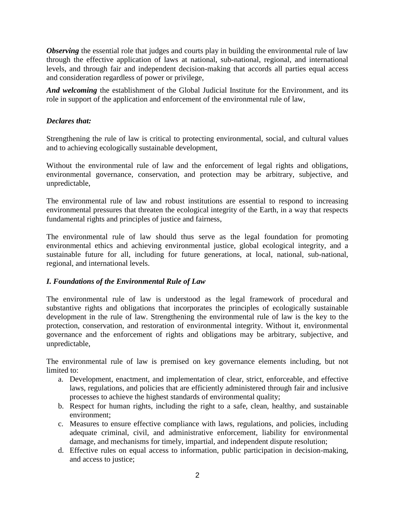*Observing* the essential role that judges and courts play in building the environmental rule of law through the effective application of laws at national, sub-national, regional, and international levels, and through fair and independent decision-making that accords all parties equal access and consideration regardless of power or privilege,

*And welcoming* the establishment of the Global Judicial Institute for the Environment, and its role in support of the application and enforcement of the environmental rule of law,

## *Declares that:*

Strengthening the rule of law is critical to protecting environmental, social, and cultural values and to achieving ecologically sustainable development,

Without the environmental rule of law and the enforcement of legal rights and obligations, environmental governance, conservation, and protection may be arbitrary, subjective, and unpredictable,

The environmental rule of law and robust institutions are essential to respond to increasing environmental pressures that threaten the ecological integrity of the Earth, in a way that respects fundamental rights and principles of justice and fairness,

The environmental rule of law should thus serve as the legal foundation for promoting environmental ethics and achieving environmental justice, global ecological integrity, and a sustainable future for all, including for future generations, at local, national, sub-national, regional, and international levels.

## *I. Foundations of the Environmental Rule of Law*

The environmental rule of law is understood as the legal framework of procedural and substantive rights and obligations that incorporates the principles of ecologically sustainable development in the rule of law. Strengthening the environmental rule of law is the key to the protection, conservation, and restoration of environmental integrity. Without it, environmental governance and the enforcement of rights and obligations may be arbitrary, subjective, and unpredictable,

The environmental rule of law is premised on key governance elements including, but not limited to:

- a. Development, enactment, and implementation of clear, strict, enforceable, and effective laws, regulations, and policies that are efficiently administered through fair and inclusive processes to achieve the highest standards of environmental quality;
- b. Respect for human rights, including the right to a safe, clean, healthy, and sustainable environment;
- c. Measures to ensure effective compliance with laws, regulations, and policies, including adequate criminal, civil, and administrative enforcement, liability for environmental damage, and mechanisms for timely, impartial, and independent dispute resolution;
- d. Effective rules on equal access to information, public participation in decision-making, and access to justice;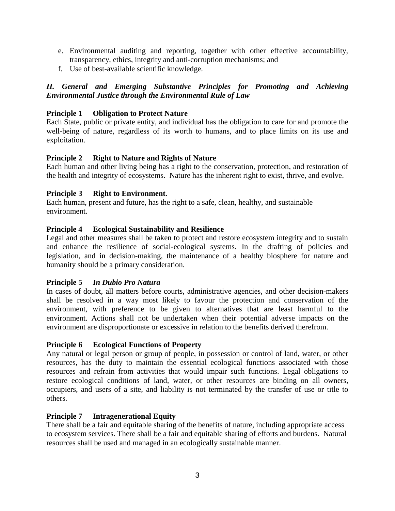- e. Environmental auditing and reporting, together with other effective accountability, transparency, ethics, integrity and anti-corruption mechanisms; and
- f. Use of best-available scientific knowledge.

# *II. General and Emerging Substantive Principles for Promoting and Achieving Environmental Justice through the Environmental Rule of Law*

## **Principle 1 Obligation to Protect Nature**

Each State, public or private entity, and individual has the obligation to care for and promote the well-being of nature, regardless of its worth to humans, and to place limits on its use and exploitation.

## **Principle 2 Right to Nature and Rights of Nature**

Each human and other living being has a right to the conservation, protection, and restoration of the health and integrity of ecosystems. Nature has the inherent right to exist, thrive, and evolve.

## **Principle 3 Right to Environment**.

Each human, present and future, has the right to a safe, clean, healthy, and sustainable environment.

## **Principle 4 Ecological Sustainability and Resilience**

Legal and other measures shall be taken to protect and restore ecosystem integrity and to sustain and enhance the resilience of social-ecological systems. In the drafting of policies and legislation, and in decision-making, the maintenance of a healthy biosphere for nature and humanity should be a primary consideration.

## **Principle 5** *In Dubio Pro Natura*

In cases of doubt, all matters before courts, administrative agencies, and other decision-makers shall be resolved in a way most likely to favour the protection and conservation of the environment, with preference to be given to alternatives that are least harmful to the environment. Actions shall not be undertaken when their potential adverse impacts on the environment are disproportionate or excessive in relation to the benefits derived therefrom.

## **Principle 6 Ecological Functions of Property**

Any natural or legal person or group of people, in possession or control of land, water, or other resources, has the duty to maintain the essential ecological functions associated with those resources and refrain from activities that would impair such functions. Legal obligations to restore ecological conditions of land, water, or other resources are binding on all owners, occupiers, and users of a site, and liability is not terminated by the transfer of use or title to others.

## **Principle 7 Intragenerational Equity**

There shall be a fair and equitable sharing of the benefits of nature, including appropriate access to ecosystem services. There shall be a fair and equitable sharing of efforts and burdens. Natural resources shall be used and managed in an ecologically sustainable manner.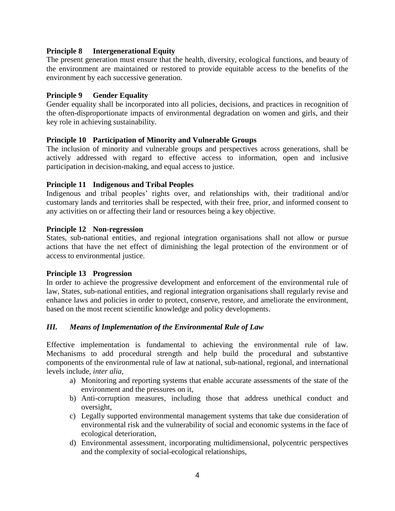#### **Principle 8 Intergenerational Equity**

The present generation must ensure that the health, diversity, ecological functions, and beauty of the environment are maintained or restored to provide equitable access to the benefits of the environment by each successive generation.

#### **Principle 9 Gender Equality**

Gender equality shall be incorporated into all policies, decisions, and practices in recognition of the often-disproportionate impacts of environmental degradation on women and girls, and their key role in achieving sustainability.

#### **Principle 10 Participation of Minority and Vulnerable Groups**

The inclusion of minority and vulnerable groups and perspectives across generations, shall be actively addressed with regard to effective access to information, open and inclusive participation in decision-making, and equal access to justice.

#### **Principle 11 Indigenous and Tribal Peoples**

Indigenous and tribal peoples' rights over, and relationships with, their traditional and/or customary lands and territories shall be respected, with their free, prior, and informed consent to any activities on or affecting their land or resources being a key objective.

#### **Principle 12 Non-regression**

States, sub-national entities, and regional integration organisations shall not allow or pursue actions that have the net effect of diminishing the legal protection of the environment or of access to environmental justice.

#### **Principle 13 Progression**

In order to achieve the progressive development and enforcement of the environmental rule of law, States, sub-national entities, and regional integration organisations shall regularly revise and enhance laws and policies in order to protect, conserve, restore, and ameliorate the environment, based on the most recent scientific knowledge and policy developments.

#### *III. Means of Implementation of the Environmental Rule of Law*

Effective implementation is fundamental to achieving the environmental rule of law. Mechanisms to add procedural strength and help build the procedural and substantive components of the environmental rule of law at national, sub-national, regional, and international levels include, *inter alia*,

- a) Monitoring and reporting systems that enable accurate assessments of the state of the environment and the pressures on it,
- b) Anti-corruption measures, including those that address unethical conduct and oversight,
- c) Legally supported environmental management systems that take due consideration of environmental risk and the vulnerability of social and economic systems in the face of ecological deterioration,
- d) Environmental assessment, incorporating multidimensional, polycentric perspectives and the complexity of social-ecological relationships,